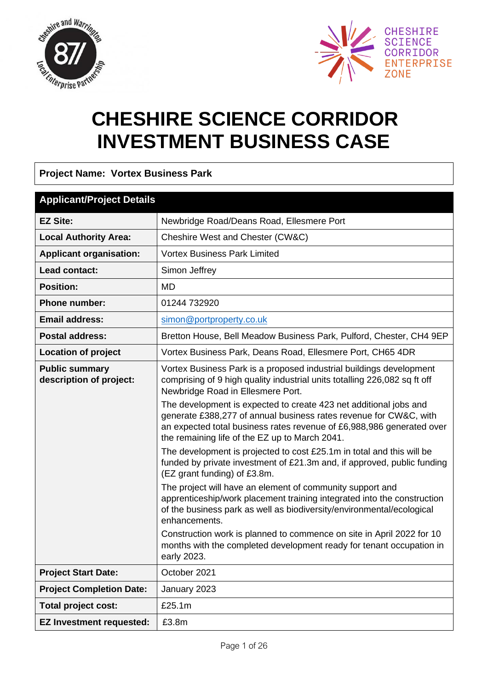



# **CHESHIRE SCIENCE CORRIDOR INVESTMENT BUSINESS CASE**

**Project Name: Vortex Business Park**

| <b>Applicant/Project Details</b>                 |                                                                                                                                                                                                                                                                   |  |  |  |
|--------------------------------------------------|-------------------------------------------------------------------------------------------------------------------------------------------------------------------------------------------------------------------------------------------------------------------|--|--|--|
| <b>EZ Site:</b>                                  | Newbridge Road/Deans Road, Ellesmere Port                                                                                                                                                                                                                         |  |  |  |
| <b>Local Authority Area:</b>                     | Cheshire West and Chester (CW&C)                                                                                                                                                                                                                                  |  |  |  |
| <b>Applicant organisation:</b>                   | <b>Vortex Business Park Limited</b>                                                                                                                                                                                                                               |  |  |  |
| Lead contact:                                    | Simon Jeffrey                                                                                                                                                                                                                                                     |  |  |  |
| <b>Position:</b>                                 | MD                                                                                                                                                                                                                                                                |  |  |  |
| <b>Phone number:</b>                             | 01244 732920                                                                                                                                                                                                                                                      |  |  |  |
| <b>Email address:</b>                            | simon@portproperty.co.uk                                                                                                                                                                                                                                          |  |  |  |
| <b>Postal address:</b>                           | Bretton House, Bell Meadow Business Park, Pulford, Chester, CH4 9EP                                                                                                                                                                                               |  |  |  |
| <b>Location of project</b>                       | Vortex Business Park, Deans Road, Ellesmere Port, CH65 4DR                                                                                                                                                                                                        |  |  |  |
| <b>Public summary</b><br>description of project: | Vortex Business Park is a proposed industrial buildings development<br>comprising of 9 high quality industrial units totalling 226,082 sq ft off<br>Newbridge Road in Ellesmere Port.                                                                             |  |  |  |
|                                                  | The development is expected to create 423 net additional jobs and<br>generate £388,277 of annual business rates revenue for CW&C, with<br>an expected total business rates revenue of £6,988,986 generated over<br>the remaining life of the EZ up to March 2041. |  |  |  |
|                                                  | The development is projected to cost £25.1m in total and this will be<br>funded by private investment of £21.3m and, if approved, public funding<br>(EZ grant funding) of £3.8m.                                                                                  |  |  |  |
|                                                  | The project will have an element of community support and<br>apprenticeship/work placement training integrated into the construction<br>of the business park as well as biodiversity/environmental/ecological<br>enhancements.                                    |  |  |  |
|                                                  | Construction work is planned to commence on site in April 2022 for 10<br>months with the completed development ready for tenant occupation in<br>early 2023.                                                                                                      |  |  |  |
| <b>Project Start Date:</b>                       | October 2021                                                                                                                                                                                                                                                      |  |  |  |
| <b>Project Completion Date:</b>                  | January 2023                                                                                                                                                                                                                                                      |  |  |  |
| Total project cost:                              | £25.1m                                                                                                                                                                                                                                                            |  |  |  |
| <b>EZ Investment requested:</b>                  | £3.8m                                                                                                                                                                                                                                                             |  |  |  |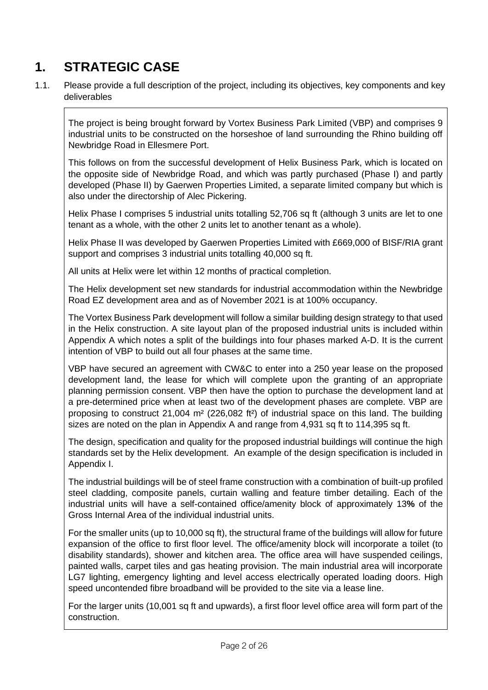# **1. STRATEGIC CASE**

1.1. Please provide a full description of the project, including its objectives, key components and key deliverables

The project is being brought forward by Vortex Business Park Limited (VBP) and comprises 9 industrial units to be constructed on the horseshoe of land surrounding the Rhino building off Newbridge Road in Ellesmere Port.

This follows on from the successful development of Helix Business Park, which is located on the opposite side of Newbridge Road, and which was partly purchased (Phase I) and partly developed (Phase II) by Gaerwen Properties Limited, a separate limited company but which is also under the directorship of Alec Pickering.

Helix Phase I comprises 5 industrial units totalling 52,706 sq ft (although 3 units are let to one tenant as a whole, with the other 2 units let to another tenant as a whole).

Helix Phase II was developed by Gaerwen Properties Limited with £669,000 of BISF/RIA grant support and comprises 3 industrial units totalling 40,000 sq ft.

All units at Helix were let within 12 months of practical completion.

The Helix development set new standards for industrial accommodation within the Newbridge Road EZ development area and as of November 2021 is at 100% occupancy.

The Vortex Business Park development will follow a similar building design strategy to that used in the Helix construction. A site layout plan of the proposed industrial units is included within Appendix A which notes a split of the buildings into four phases marked A-D. It is the current intention of VBP to build out all four phases at the same time.

VBP have secured an agreement with CW&C to enter into a 250 year lease on the proposed development land, the lease for which will complete upon the granting of an appropriate planning permission consent. VBP then have the option to purchase the development land at a pre-determined price when at least two of the development phases are complete. VBP are proposing to construct  $21,004$  m<sup>2</sup> (226,082 ft<sup>2</sup>) of industrial space on this land. The building sizes are noted on the plan in Appendix A and range from 4,931 sq ft to 114,395 sq ft.

The design, specification and quality for the proposed industrial buildings will continue the high standards set by the Helix development. An example of the design specification is included in Appendix I.

The industrial buildings will be of steel frame construction with a combination of built-up profiled steel cladding, composite panels, curtain walling and feature timber detailing. Each of the industrial units will have a self-contained office/amenity block of approximately 13**%** of the Gross Internal Area of the individual industrial units.

For the smaller units (up to 10,000 sq ft), the structural frame of the buildings will allow for future expansion of the office to first floor level. The office/amenity block will incorporate a toilet (to disability standards), shower and kitchen area. The office area will have suspended ceilings, painted walls, carpet tiles and gas heating provision. The main industrial area will incorporate LG7 lighting, emergency lighting and level access electrically operated loading doors. High speed uncontended fibre broadband will be provided to the site via a lease line.

For the larger units (10,001 sq ft and upwards), a first floor level office area will form part of the construction.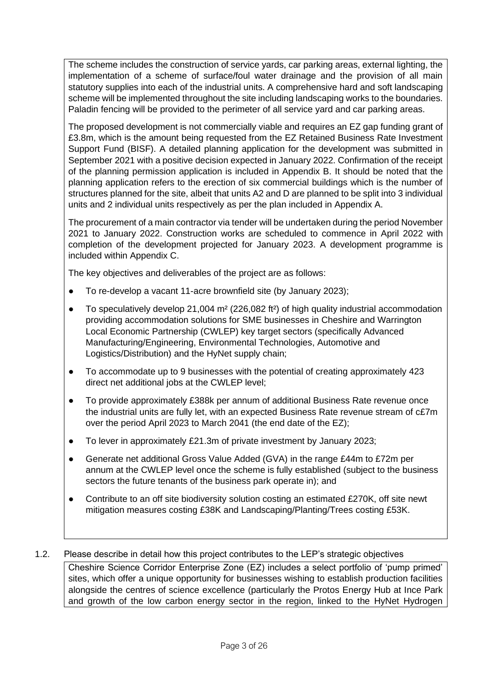The scheme includes the construction of service yards, car parking areas, external lighting, the implementation of a scheme of surface/foul water drainage and the provision of all main statutory supplies into each of the industrial units. A comprehensive hard and soft landscaping scheme will be implemented throughout the site including landscaping works to the boundaries. Paladin fencing will be provided to the perimeter of all service yard and car parking areas.

The proposed development is not commercially viable and requires an EZ gap funding grant of £3.8m, which is the amount being requested from the EZ Retained Business Rate Investment Support Fund (BISF). A detailed planning application for the development was submitted in September 2021 with a positive decision expected in January 2022. Confirmation of the receipt of the planning permission application is included in Appendix B. It should be noted that the planning application refers to the erection of six commercial buildings which is the number of structures planned for the site, albeit that units A2 and D are planned to be split into 3 individual units and 2 individual units respectively as per the plan included in Appendix A.

The procurement of a main contractor via tender will be undertaken during the period November 2021 to January 2022. Construction works are scheduled to commence in April 2022 with completion of the development projected for January 2023. A development programme is included within Appendix C.

The key objectives and deliverables of the project are as follows:

- To re-develop a vacant 11-acre brownfield site (by January 2023);
- To speculatively develop 21,004 m² (226,082 ft²) of high quality industrial accommodation providing accommodation solutions for SME businesses in Cheshire and Warrington Local Economic Partnership (CWLEP) key target sectors (specifically Advanced Manufacturing/Engineering, Environmental Technologies, Automotive and Logistics/Distribution) and the HyNet supply chain;
- To accommodate up to 9 businesses with the potential of creating approximately 423 direct net additional jobs at the CWLEP level;
- To provide approximately £388k per annum of additional Business Rate revenue once the industrial units are fully let, with an expected Business Rate revenue stream of c£7m over the period April 2023 to March 2041 (the end date of the EZ);
- To lever in approximately £21.3m of private investment by January 2023;
- Generate net additional Gross Value Added (GVA) in the range £44m to £72m per annum at the CWLEP level once the scheme is fully established (subject to the business sectors the future tenants of the business park operate in); and
- Contribute to an off site biodiversity solution costing an estimated £270K, off site newt mitigation measures costing £38K and Landscaping/Planting/Trees costing £53K.
- 1.2. Please describe in detail how this project contributes to the LEP's strategic objectives

Cheshire Science Corridor Enterprise Zone (EZ) includes a select portfolio of 'pump primed' sites, which offer a unique opportunity for businesses wishing to establish production facilities alongside the centres of science excellence (particularly the Protos Energy Hub at Ince Park and growth of the low carbon energy sector in the region, linked to the HyNet Hydrogen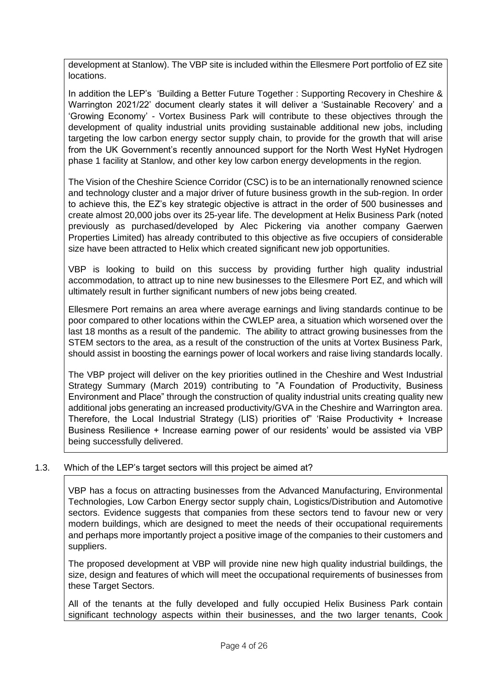development at Stanlow). The VBP site is included within the Ellesmere Port portfolio of EZ site locations.

In addition the LEP's 'Building a Better Future Together : Supporting Recovery in Cheshire & Warrington 2021/22' document clearly states it will deliver a 'Sustainable Recovery' and a 'Growing Economy' - Vortex Business Park will contribute to these objectives through the development of quality industrial units providing sustainable additional new jobs, including targeting the low carbon energy sector supply chain, to provide for the growth that will arise from the UK Government's recently announced support for the North West HyNet Hydrogen phase 1 facility at Stanlow, and other key low carbon energy developments in the region.

The Vision of the Cheshire Science Corridor (CSC) is to be an internationally renowned science and technology cluster and a major driver of future business growth in the sub-region. In order to achieve this, the EZ's key strategic objective is attract in the order of 500 businesses and create almost 20,000 jobs over its 25-year life. The development at Helix Business Park (noted previously as purchased/developed by Alec Pickering via another company Gaerwen Properties Limited) has already contributed to this objective as five occupiers of considerable size have been attracted to Helix which created significant new job opportunities.

VBP is looking to build on this success by providing further high quality industrial accommodation, to attract up to nine new businesses to the Ellesmere Port EZ, and which will ultimately result in further significant numbers of new jobs being created.

Ellesmere Port remains an area where average earnings and living standards continue to be poor compared to other locations within the CWLEP area, a situation which worsened over the last 18 months as a result of the pandemic. The ability to attract growing businesses from the STEM sectors to the area, as a result of the construction of the units at Vortex Business Park, should assist in boosting the earnings power of local workers and raise living standards locally.

The VBP project will deliver on the key priorities outlined in the Cheshire and West Industrial Strategy Summary (March 2019) contributing to "A Foundation of Productivity, Business Environment and Place" through the construction of quality industrial units creating quality new additional jobs generating an increased productivity/GVA in the Cheshire and Warrington area. Therefore, the Local Industrial Strategy (LIS) priorities of" 'Raise Productivity + Increase Business Resilience + Increase earning power of our residents' would be assisted via VBP being successfully delivered.

### 1.3. Which of the LEP's target sectors will this project be aimed at?

VBP has a focus on attracting businesses from the Advanced Manufacturing, Environmental Technologies, Low Carbon Energy sector supply chain, Logistics/Distribution and Automotive sectors. Evidence suggests that companies from these sectors tend to favour new or very modern buildings, which are designed to meet the needs of their occupational requirements and perhaps more importantly project a positive image of the companies to their customers and suppliers.

The proposed development at VBP will provide nine new high quality industrial buildings, the size, design and features of which will meet the occupational requirements of businesses from these Target Sectors.

All of the tenants at the fully developed and fully occupied Helix Business Park contain significant technology aspects within their businesses, and the two larger tenants, Cook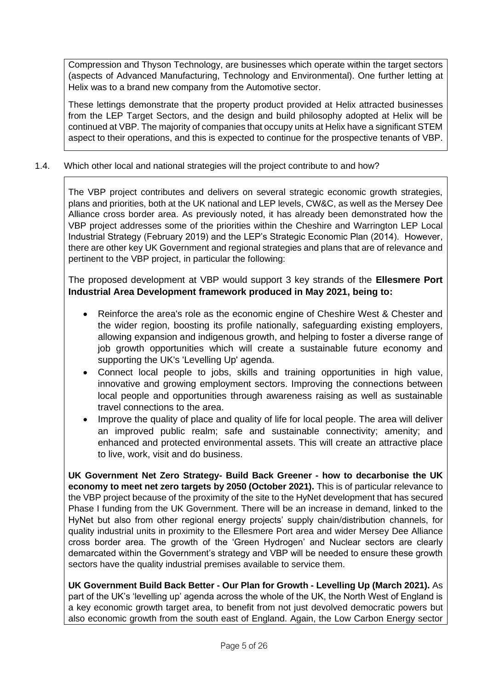Compression and Thyson Technology, are businesses which operate within the target sectors (aspects of Advanced Manufacturing, Technology and Environmental). One further letting at Helix was to a brand new company from the Automotive sector.

These lettings demonstrate that the property product provided at Helix attracted businesses from the LEP Target Sectors, and the design and build philosophy adopted at Helix will be continued at VBP. The majority of companies that occupy units at Helix have a significant STEM aspect to their operations, and this is expected to continue for the prospective tenants of VBP.

### 1.4. Which other local and national strategies will the project contribute to and how?

The VBP project contributes and delivers on several strategic economic growth strategies, plans and priorities, both at the UK national and LEP levels, CW&C, as well as the Mersey Dee Alliance cross border area. As previously noted, it has already been demonstrated how the VBP project addresses some of the priorities within the Cheshire and Warrington LEP Local Industrial Strategy (February 2019) and the LEP's Strategic Economic Plan (2014). However, there are other key UK Government and regional strategies and plans that are of relevance and pertinent to the VBP project, in particular the following:

The proposed development at VBP would support 3 key strands of the **Ellesmere Port Industrial Area Development framework produced in May 2021, being to:**

- Reinforce the area's role as the economic engine of Cheshire West & Chester and the wider region, boosting its profile nationally, safeguarding existing employers, allowing expansion and indigenous growth, and helping to foster a diverse range of job growth opportunities which will create a sustainable future economy and supporting the UK's 'Levelling Up' agenda.
- Connect local people to jobs, skills and training opportunities in high value, innovative and growing employment sectors. Improving the connections between local people and opportunities through awareness raising as well as sustainable travel connections to the area.
- Improve the quality of place and quality of life for local people. The area will deliver an improved public realm; safe and sustainable connectivity; amenity; and enhanced and protected environmental assets. This will create an attractive place to live, work, visit and do business.

**UK Government Net Zero Strategy- Build Back Greener - how to decarbonise the UK economy to meet net zero targets by 2050 (October 2021).** This is of particular relevance to the VBP project because of the proximity of the site to the HyNet development that has secured Phase I funding from the UK Government. There will be an increase in demand, linked to the HyNet but also from other regional energy projects' supply chain/distribution channels, for quality industrial units in proximity to the Ellesmere Port area and wider Mersey Dee Alliance cross border area. The growth of the 'Green Hydrogen' and Nuclear sectors are clearly demarcated within the Government's strategy and VBP will be needed to ensure these growth sectors have the quality industrial premises available to service them.

**UK Government Build Back Better - Our Plan for Growth - Levelling Up (March 2021).** As part of the UK's 'levelling up' agenda across the whole of the UK, the North West of England is a key economic growth target area, to benefit from not just devolved democratic powers but also economic growth from the south east of England. Again, the Low Carbon Energy sector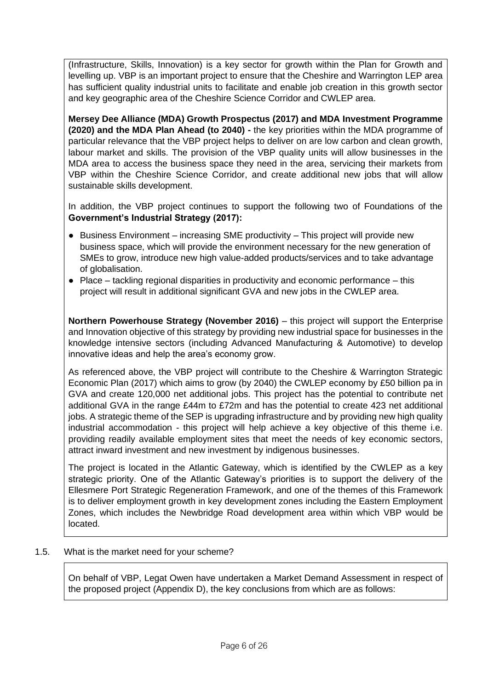(Infrastructure, Skills, Innovation) is a key sector for growth within the Plan for Growth and levelling up. VBP is an important project to ensure that the Cheshire and Warrington LEP area has sufficient quality industrial units to facilitate and enable job creation in this growth sector and key geographic area of the Cheshire Science Corridor and CWLEP area.

**Mersey Dee Alliance (MDA) Growth Prospectus (2017) and MDA Investment Programme (2020) and the MDA Plan Ahead (to 2040) -** the key priorities within the MDA programme of particular relevance that the VBP project helps to deliver on are low carbon and clean growth, labour market and skills. The provision of the VBP quality units will allow businesses in the MDA area to access the business space they need in the area, servicing their markets from VBP within the Cheshire Science Corridor, and create additional new jobs that will allow sustainable skills development.

In addition, the VBP project continues to support the following two of Foundations of the **Government's Industrial Strategy (2017):**

- Business Environment increasing SME productivity This project will provide new business space, which will provide the environment necessary for the new generation of SMEs to grow, introduce new high value-added products/services and to take advantage of globalisation.
- $\bullet$  Place tackling regional disparities in productivity and economic performance this project will result in additional significant GVA and new jobs in the CWLEP area.

**Northern Powerhouse Strategy (November 2016)** – this project will support the Enterprise and Innovation objective of this strategy by providing new industrial space for businesses in the knowledge intensive sectors (including Advanced Manufacturing & Automotive) to develop innovative ideas and help the area's economy grow.

As referenced above, the VBP project will contribute to the Cheshire & Warrington Strategic Economic Plan (2017) which aims to grow (by 2040) the CWLEP economy by £50 billion pa in GVA and create 120,000 net additional jobs. This project has the potential to contribute net additional GVA in the range £44m to £72m and has the potential to create 423 net additional jobs. A strategic theme of the SEP is upgrading infrastructure and by providing new high quality industrial accommodation - this project will help achieve a key objective of this theme i.e. providing readily available employment sites that meet the needs of key economic sectors, attract inward investment and new investment by indigenous businesses.

The project is located in the Atlantic Gateway, which is identified by the CWLEP as a key strategic priority. One of the Atlantic Gateway's priorities is to support the delivery of the Ellesmere Port Strategic Regeneration Framework, and one of the themes of this Framework is to deliver employment growth in key development zones including the Eastern Employment Zones, which includes the Newbridge Road development area within which VBP would be located.

1.5. What is the market need for your scheme?

On behalf of VBP, Legat Owen have undertaken a Market Demand Assessment in respect of the proposed project (Appendix D), the key conclusions from which are as follows: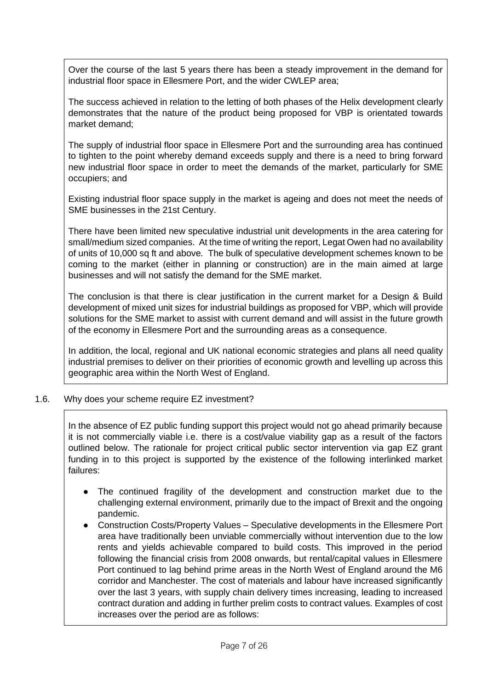Over the course of the last 5 years there has been a steady improvement in the demand for industrial floor space in Ellesmere Port, and the wider CWLEP area;

The success achieved in relation to the letting of both phases of the Helix development clearly demonstrates that the nature of the product being proposed for VBP is orientated towards market demand;

The supply of industrial floor space in Ellesmere Port and the surrounding area has continued to tighten to the point whereby demand exceeds supply and there is a need to bring forward new industrial floor space in order to meet the demands of the market, particularly for SME occupiers; and

Existing industrial floor space supply in the market is ageing and does not meet the needs of SME businesses in the 21st Century.

There have been limited new speculative industrial unit developments in the area catering for small/medium sized companies. At the time of writing the report, Legat Owen had no availability of units of 10,000 sq ft and above. The bulk of speculative development schemes known to be coming to the market (either in planning or construction) are in the main aimed at large businesses and will not satisfy the demand for the SME market.

The conclusion is that there is clear justification in the current market for a Design & Build development of mixed unit sizes for industrial buildings as proposed for VBP, which will provide solutions for the SME market to assist with current demand and will assist in the future growth of the economy in Ellesmere Port and the surrounding areas as a consequence.

In addition, the local, regional and UK national economic strategies and plans all need quality industrial premises to deliver on their priorities of economic growth and levelling up across this geographic area within the North West of England.

### 1.6. Why does your scheme require EZ investment?

In the absence of EZ public funding support this project would not go ahead primarily because it is not commercially viable i.e. there is a cost/value viability gap as a result of the factors outlined below. The rationale for project critical public sector intervention via gap EZ grant funding in to this project is supported by the existence of the following interlinked market failures:

- The continued fragility of the development and construction market due to the challenging external environment, primarily due to the impact of Brexit and the ongoing pandemic.
- Construction Costs/Property Values Speculative developments in the Ellesmere Port area have traditionally been unviable commercially without intervention due to the low rents and yields achievable compared to build costs. This improved in the period following the financial crisis from 2008 onwards, but rental/capital values in Ellesmere Port continued to lag behind prime areas in the North West of England around the M6 corridor and Manchester. The cost of materials and labour have increased significantly over the last 3 years, with supply chain delivery times increasing, leading to increased contract duration and adding in further prelim costs to contract values. Examples of cost increases over the period are as follows: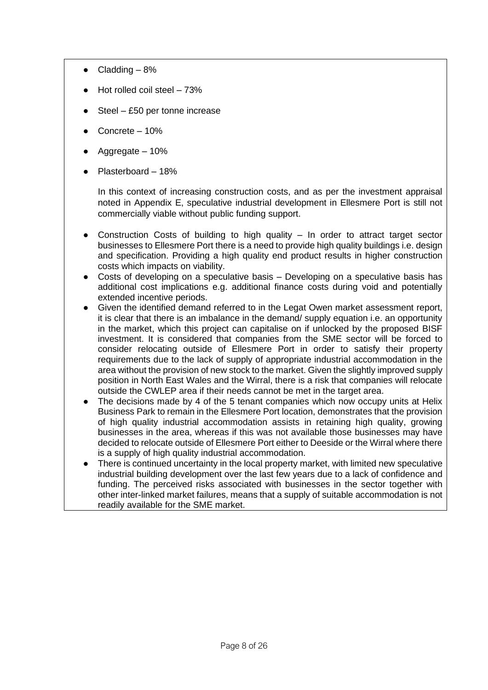- $\bullet$  Cladding  $-8\%$
- Hot rolled coil steel  $-73%$
- Steel  $£50$  per tonne increase
- Concrete  $-10%$
- Aggregate  $-10%$
- Plasterboard 18%

In this context of increasing construction costs, and as per the investment appraisal noted in Appendix E, speculative industrial development in Ellesmere Port is still not commercially viable without public funding support.

- Construction Costs of building to high quality  $-$  In order to attract target sector businesses to Ellesmere Port there is a need to provide high quality buildings i.e. design and specification. Providing a high quality end product results in higher construction costs which impacts on viability.
- Costs of developing on a speculative basis Developing on a speculative basis has additional cost implications e.g. additional finance costs during void and potentially extended incentive periods.
- Given the identified demand referred to in the Legat Owen market assessment report, it is clear that there is an imbalance in the demand/ supply equation i.e. an opportunity in the market, which this project can capitalise on if unlocked by the proposed BISF investment. It is considered that companies from the SME sector will be forced to consider relocating outside of Ellesmere Port in order to satisfy their property requirements due to the lack of supply of appropriate industrial accommodation in the area without the provision of new stock to the market. Given the slightly improved supply position in North East Wales and the Wirral, there is a risk that companies will relocate outside the CWLEP area if their needs cannot be met in the target area.
- The decisions made by 4 of the 5 tenant companies which now occupy units at Helix Business Park to remain in the Ellesmere Port location, demonstrates that the provision of high quality industrial accommodation assists in retaining high quality, growing businesses in the area, whereas if this was not available those businesses may have decided to relocate outside of Ellesmere Port either to Deeside or the Wirral where there is a supply of high quality industrial accommodation.
- There is continued uncertainty in the local property market, with limited new speculative industrial building development over the last few years due to a lack of confidence and funding. The perceived risks associated with businesses in the sector together with other inter-linked market failures, means that a supply of suitable accommodation is not readily available for the SME market.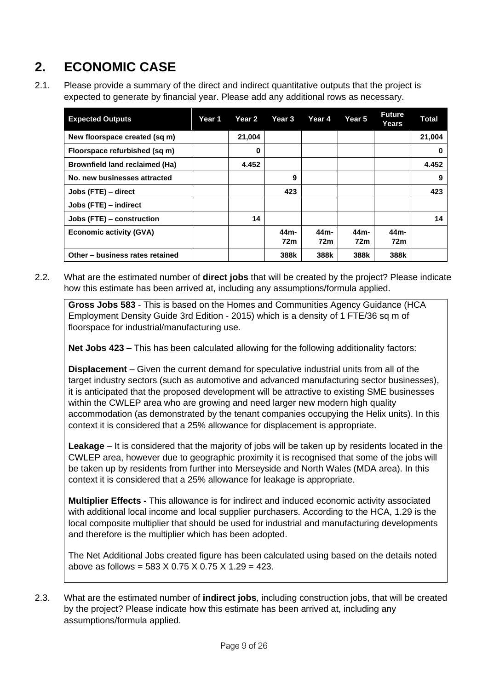# **2. ECONOMIC CASE**

2.1. Please provide a summary of the direct and indirect quantitative outputs that the project is expected to generate by financial year. Please add any additional rows as necessary.

| <b>Expected Outputs</b>               | Year 1 | Year 2 | Year 3                               | Year 4      | Year 5      | <b>Future</b><br>Years | <b>Total</b> |
|---------------------------------------|--------|--------|--------------------------------------|-------------|-------------|------------------------|--------------|
| New floorspace created (sq m)         |        | 21,004 |                                      |             |             |                        | 21,004       |
| Floorspace refurbished (sq m)         |        | 0      |                                      |             |             |                        | 0            |
| <b>Brownfield land reclaimed (Ha)</b> |        | 4.452  |                                      |             |             |                        | 4.452        |
| No. new businesses attracted          |        |        | 9                                    |             |             |                        | 9            |
| Jobs (FTE) - direct                   |        |        | 423                                  |             |             |                        | 423          |
| Jobs (FTE) – indirect                 |        |        |                                      |             |             |                        |              |
| Jobs (FTE) – construction             |        | 14     |                                      |             |             |                        | 14           |
| <b>Economic activity (GVA)</b>        |        |        | 44 <sub>m</sub> -<br>72 <sub>m</sub> | 44m-<br>72m | 44m-<br>72m | 44m-<br>72m            |              |
| Other - business rates retained       |        |        | 388k                                 | 388k        | 388k        | 388k                   |              |

2.2. What are the estimated number of **direct jobs** that will be created by the project? Please indicate how this estimate has been arrived at, including any assumptions/formula applied.

**Gross Jobs 583** - This is based on the Homes and Communities Agency Guidance (HCA Employment Density Guide 3rd Edition - 2015) which is a density of 1 FTE/36 sq m of floorspace for industrial/manufacturing use.

**Net Jobs 423 –** This has been calculated allowing for the following additionality factors:

**Displacement** – Given the current demand for speculative industrial units from all of the target industry sectors (such as automotive and advanced manufacturing sector businesses), it is anticipated that the proposed development will be attractive to existing SME businesses within the CWLEP area who are growing and need larger new modern high quality accommodation (as demonstrated by the tenant companies occupying the Helix units). In this context it is considered that a 25% allowance for displacement is appropriate.

**Leakage** – It is considered that the majority of jobs will be taken up by residents located in the CWLEP area, however due to geographic proximity it is recognised that some of the jobs will be taken up by residents from further into Merseyside and North Wales (MDA area). In this context it is considered that a 25% allowance for leakage is appropriate.

**Multiplier Effects -** This allowance is for indirect and induced economic activity associated with additional local income and local supplier purchasers. According to the HCA, 1.29 is the local composite multiplier that should be used for industrial and manufacturing developments and therefore is the multiplier which has been adopted.

The Net Additional Jobs created figure has been calculated using based on the details noted above as follows = 583 X 0.75 X 0.75 X 1.29 = 423.

2.3. What are the estimated number of **indirect jobs**, including construction jobs, that will be created by the project? Please indicate how this estimate has been arrived at, including any assumptions/formula applied.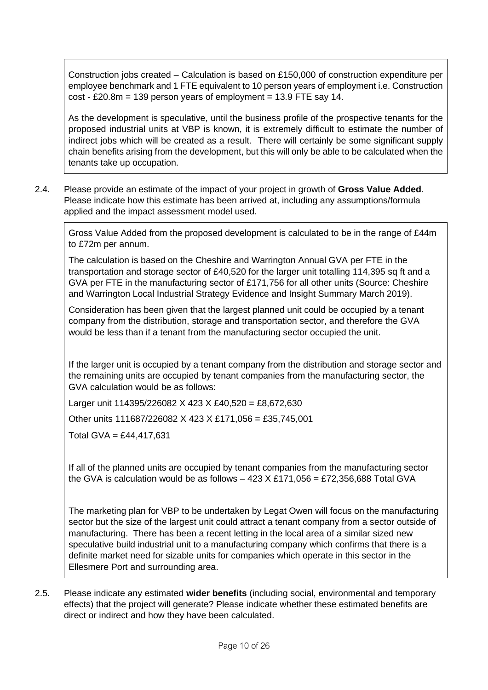Construction jobs created – Calculation is based on £150,000 of construction expenditure per employee benchmark and 1 FTE equivalent to 10 person years of employment i.e. Construction  $cost - £20.8m = 139$  person years of employment = 13.9 FTE say 14.

As the development is speculative, until the business profile of the prospective tenants for the proposed industrial units at VBP is known, it is extremely difficult to estimate the number of indirect jobs which will be created as a result. There will certainly be some significant supply chain benefits arising from the development, but this will only be able to be calculated when the tenants take up occupation.

2.4. Please provide an estimate of the impact of your project in growth of **Gross Value Added**. Please indicate how this estimate has been arrived at, including any assumptions/formula applied and the impact assessment model used.

Gross Value Added from the proposed development is calculated to be in the range of £44m to £72m per annum.

The calculation is based on the Cheshire and Warrington Annual GVA per FTE in the transportation and storage sector of £40,520 for the larger unit totalling 114,395 sq ft and a GVA per FTE in the manufacturing sector of £171,756 for all other units (Source: Cheshire and Warrington Local Industrial Strategy Evidence and Insight Summary March 2019).

Consideration has been given that the largest planned unit could be occupied by a tenant company from the distribution, storage and transportation sector, and therefore the GVA would be less than if a tenant from the manufacturing sector occupied the unit.

If the larger unit is occupied by a tenant company from the distribution and storage sector and the remaining units are occupied by tenant companies from the manufacturing sector, the GVA calculation would be as follows:

Larger unit 114395/226082 X 423 X £40,520 = £8,672,630

Other units 111687/226082 X 423 X £171,056 = £35,745,001

Total GVA = £44,417,631

If all of the planned units are occupied by tenant companies from the manufacturing sector the GVA is calculation would be as follows  $-423$  X £171,056 = £72,356,688 Total GVA

The marketing plan for VBP to be undertaken by Legat Owen will focus on the manufacturing sector but the size of the largest unit could attract a tenant company from a sector outside of manufacturing. There has been a recent letting in the local area of a similar sized new speculative build industrial unit to a manufacturing company which confirms that there is a definite market need for sizable units for companies which operate in this sector in the Ellesmere Port and surrounding area.

2.5. Please indicate any estimated **wider benefits** (including social, environmental and temporary effects) that the project will generate? Please indicate whether these estimated benefits are direct or indirect and how they have been calculated.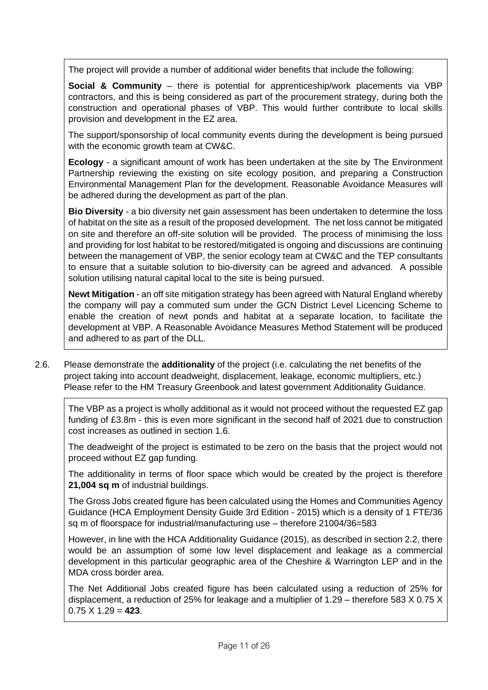The project will provide a number of additional wider benefits that include the following:

**Social & Community** – there is potential for apprenticeship/work placements via VBP contractors, and this is being considered as part of the procurement strategy, during both the construction and operational phases of VBP. This would further contribute to local skills provision and development in the EZ area.

The support/sponsorship of local community events during the development is being pursued with the economic growth team at CW&C.

**Ecology** - a significant amount of work has been undertaken at the site by The Environment Partnership reviewing the existing on site ecology position, and preparing a Construction Environmental Management Plan for the development. Reasonable Avoidance Measures will be adhered during the development as part of the plan.

**Bio Diversity** - a bio diversity net gain assessment has been undertaken to determine the loss of habitat on the site as a result of the proposed development. The net loss cannot be mitigated on site and therefore an off-site solution will be provided. The process of minimising the loss and providing for lost habitat to be restored/mitigated is ongoing and discussions are continuing between the management of VBP, the senior ecology team at CW&C and the TEP consultants to ensure that a suitable solution to bio-diversity can be agreed and advanced. A possible solution utilising natural capital local to the site is being pursued.

**Newt Mitigation** - an off site mitigation strategy has been agreed with Natural England whereby the company will pay a commuted sum under the GCN District Level Licencing Scheme to enable the creation of newt ponds and habitat at a separate location, to facilitate the development at VBP. A Reasonable Avoidance Measures Method Statement will be produced and adhered to as part of the DLL.

2.6. Please demonstrate the **additionality** of the project (i.e. calculating the net benefits of the project taking into account deadweight, displacement, leakage, economic multipliers, etc.) Please refer to the HM Treasury Greenbook and latest government Additionality Guidance.

The VBP as a project is wholly additional as it would not proceed without the requested EZ gap funding of £3.8m - this is even more significant in the second half of 2021 due to construction cost increases as outlined in section 1.6.

The deadweight of the project is estimated to be zero on the basis that the project would not proceed without EZ gap funding.

The additionality in terms of floor space which would be created by the project is therefore **21,004 sq m** of industrial buildings.

The Gross Jobs created figure has been calculated using the Homes and Communities Agency Guidance (HCA Employment Density Guide 3rd Edition - 2015) which is a density of 1 FTE/36 sq m of floorspace for industrial/manufacturing use – therefore 21004/36=583

However, in line with the HCA Additionality Guidance (2015), as described in section 2.2, there would be an assumption of some low level displacement and leakage as a commercial development in this particular geographic area of the Cheshire & Warrington LEP and in the MDA cross border area.

The Net Additional Jobs created figure has been calculated using a reduction of 25% for displacement, a reduction of 25% for leakage and a multiplier of 1.29 – therefore 583 X 0.75 X 0.75 X 1.29 = **423**.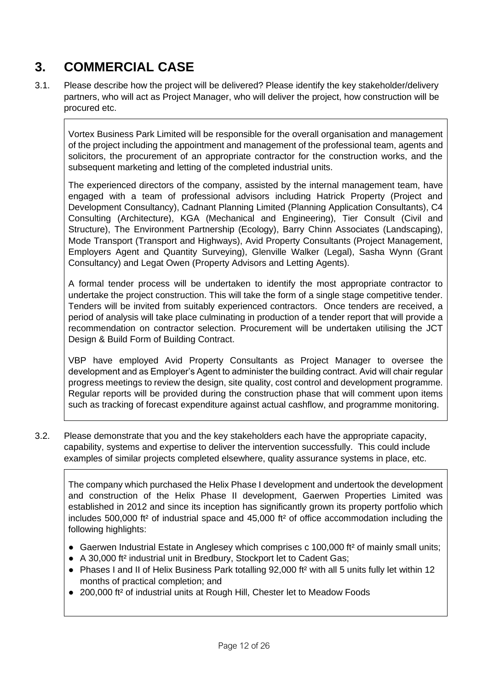# **3. COMMERCIAL CASE**

3.1. Please describe how the project will be delivered? Please identify the key stakeholder/delivery partners, who will act as Project Manager, who will deliver the project, how construction will be procured etc.

Vortex Business Park Limited will be responsible for the overall organisation and management of the project including the appointment and management of the professional team, agents and solicitors, the procurement of an appropriate contractor for the construction works, and the subsequent marketing and letting of the completed industrial units.

The experienced directors of the company, assisted by the internal management team, have engaged with a team of professional advisors including Hatrick Property (Project and Development Consultancy), Cadnant Planning Limited (Planning Application Consultants), C4 Consulting (Architecture), KGA (Mechanical and Engineering), Tier Consult (Civil and Structure), The Environment Partnership (Ecology), Barry Chinn Associates (Landscaping), Mode Transport (Transport and Highways), Avid Property Consultants (Project Management, Employers Agent and Quantity Surveying), Glenville Walker (Legal), Sasha Wynn (Grant Consultancy) and Legat Owen (Property Advisors and Letting Agents).

A formal tender process will be undertaken to identify the most appropriate contractor to undertake the project construction. This will take the form of a single stage competitive tender. Tenders will be invited from suitably experienced contractors. Once tenders are received, a period of analysis will take place culminating in production of a tender report that will provide a recommendation on contractor selection. Procurement will be undertaken utilising the JCT Design & Build Form of Building Contract.

VBP have employed Avid Property Consultants as Project Manager to oversee the development and as Employer's Agent to administer the building contract. Avid will chair regular progress meetings to review the design, site quality, cost control and development programme. Regular reports will be provided during the construction phase that will comment upon items such as tracking of forecast expenditure against actual cashflow, and programme monitoring.

3.2. Please demonstrate that you and the key stakeholders each have the appropriate capacity, capability, systems and expertise to deliver the intervention successfully. This could include examples of similar projects completed elsewhere, quality assurance systems in place, etc.

The company which purchased the Helix Phase I development and undertook the development and construction of the Helix Phase II development, Gaerwen Properties Limited was established in 2012 and since its inception has significantly grown its property portfolio which includes 500,000 ft² of industrial space and 45,000 ft² of office accommodation including the following highlights:

- Gaerwen Industrial Estate in Anglesey which comprises c 100,000 ft<sup>2</sup> of mainly small units;
- A 30,000 ft² industrial unit in Bredbury, Stockport let to Cadent Gas;
- Phases I and II of Helix Business Park totalling 92,000 ft<sup>2</sup> with all 5 units fully let within 12 months of practical completion; and
- 200,000 ft<sup>2</sup> of industrial units at Rough Hill, Chester let to Meadow Foods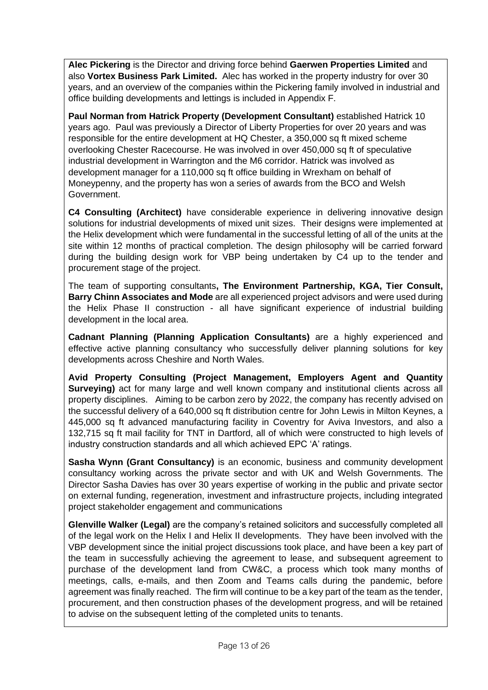**Alec Pickering** is the Director and driving force behind **Gaerwen Properties Limited** and also **Vortex Business Park Limited.** Alec has worked in the property industry for over 30 years, and an overview of the companies within the Pickering family involved in industrial and office building developments and lettings is included in Appendix F.

**Paul Norman from Hatrick Property (Development Consultant)** established Hatrick 10 years ago. Paul was previously a Director of Liberty Properties for over 20 years and was responsible for the entire development at HQ Chester, a 350,000 sq ft mixed scheme overlooking Chester Racecourse. He was involved in over 450,000 sq ft of speculative industrial development in Warrington and the M6 corridor. Hatrick was involved as development manager for a 110,000 sq ft office building in Wrexham on behalf of Moneypenny, and the property has won a series of awards from the BCO and Welsh Government.

**C4 Consulting (Architect)** have considerable experience in delivering innovative design solutions for industrial developments of mixed unit sizes. Their designs were implemented at the Helix development which were fundamental in the successful letting of all of the units at the site within 12 months of practical completion. The design philosophy will be carried forward during the building design work for VBP being undertaken by C4 up to the tender and procurement stage of the project.

The team of supporting consultants**, The Environment Partnership, KGA, Tier Consult, Barry Chinn Associates and Mode** are all experienced project advisors and were used during the Helix Phase II construction - all have significant experience of industrial building development in the local area.

**Cadnant Planning (Planning Application Consultants)** are a highly experienced and effective active planning consultancy who successfully deliver planning solutions for key developments across Cheshire and North Wales.

**Avid Property Consulting (Project Management, Employers Agent and Quantity Surveying)** act for many large and well known company and institutional clients across all property disciplines. Aiming to be carbon zero by 2022, the company has recently advised on the successful delivery of a 640,000 sq ft distribution centre for John Lewis in Milton Keynes, a 445,000 sq ft advanced manufacturing facility in Coventry for Aviva Investors, and also a 132,715 sq ft mail facility for TNT in Dartford, all of which were constructed to high levels of industry construction standards and all which achieved EPC 'A' ratings.

**Sasha Wynn (Grant Consultancy)** is an economic, business and community development consultancy working across the private sector and with UK and Welsh Governments. The Director Sasha Davies has over 30 years expertise of working in the public and private sector on external funding, regeneration, investment and infrastructure projects, including integrated project stakeholder engagement and communications

**Glenville Walker (Legal)** are the company's retained solicitors and successfully completed all of the legal work on the Helix I and Helix II developments. They have been involved with the VBP development since the initial project discussions took place, and have been a key part of the team in successfully achieving the agreement to lease, and subsequent agreement to purchase of the development land from CW&C, a process which took many months of meetings, calls, e-mails, and then Zoom and Teams calls during the pandemic, before agreement was finally reached. The firm will continue to be a key part of the team as the tender, procurement, and then construction phases of the development progress, and will be retained to advise on the subsequent letting of the completed units to tenants.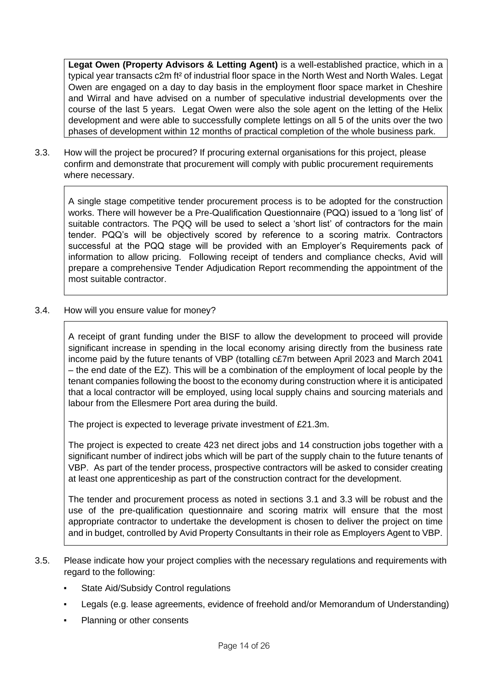**Legat Owen (Property Advisors & Letting Agent)** is a well-established practice, which in a typical year transacts c2m ft² of industrial floor space in the North West and North Wales. Legat Owen are engaged on a day to day basis in the employment floor space market in Cheshire and Wirral and have advised on a number of speculative industrial developments over the course of the last 5 years. Legat Owen were also the sole agent on the letting of the Helix development and were able to successfully complete lettings on all 5 of the units over the two phases of development within 12 months of practical completion of the whole business park.

3.3. How will the project be procured? If procuring external organisations for this project, please confirm and demonstrate that procurement will comply with public procurement requirements where necessary.

A single stage competitive tender procurement process is to be adopted for the construction works. There will however be a Pre-Qualification Questionnaire (PQQ) issued to a 'long list' of suitable contractors. The PQQ will be used to select a 'short list' of contractors for the main tender. PQQ's will be objectively scored by reference to a scoring matrix. Contractors successful at the PQQ stage will be provided with an Employer's Requirements pack of information to allow pricing. Following receipt of tenders and compliance checks, Avid will prepare a comprehensive Tender Adjudication Report recommending the appointment of the most suitable contractor.

3.4. How will you ensure value for money?

A receipt of grant funding under the BISF to allow the development to proceed will provide significant increase in spending in the local economy arising directly from the business rate income paid by the future tenants of VBP (totalling c£7m between April 2023 and March 2041 – the end date of the EZ). This will be a combination of the employment of local people by the tenant companies following the boost to the economy during construction where it is anticipated that a local contractor will be employed, using local supply chains and sourcing materials and labour from the Ellesmere Port area during the build.

The project is expected to leverage private investment of £21.3m.

The project is expected to create 423 net direct jobs and 14 construction jobs together with a significant number of indirect jobs which will be part of the supply chain to the future tenants of VBP. As part of the tender process, prospective contractors will be asked to consider creating at least one apprenticeship as part of the construction contract for the development.

The tender and procurement process as noted in sections 3.1 and 3.3 will be robust and the use of the pre-qualification questionnaire and scoring matrix will ensure that the most appropriate contractor to undertake the development is chosen to deliver the project on time and in budget, controlled by Avid Property Consultants in their role as Employers Agent to VBP.

- 3.5. Please indicate how your project complies with the necessary regulations and requirements with regard to the following:
	- State Aid/Subsidy Control regulations
	- Legals (e.g. lease agreements, evidence of freehold and/or Memorandum of Understanding)
	- **Planning or other consents**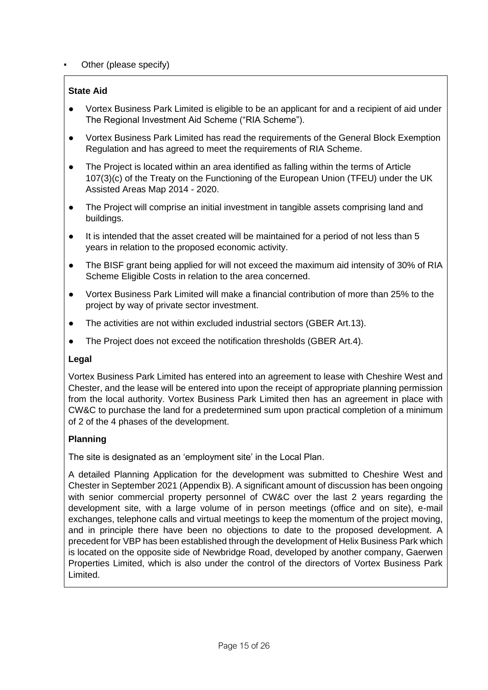### Other (please specify)

## **State Aid**

- Vortex Business Park Limited is eligible to be an applicant for and a recipient of aid under The Regional Investment Aid Scheme ("RIA Scheme").
- Vortex Business Park Limited has read the requirements of the General Block Exemption Regulation and has agreed to meet the requirements of RIA Scheme.
- The Project is located within an area identified as falling within the terms of Article 107(3)(c) of the Treaty on the Functioning of the European Union (TFEU) under the UK Assisted Areas Map 2014 - 2020.
- The Project will comprise an initial investment in tangible assets comprising land and buildings.
- It is intended that the asset created will be maintained for a period of not less than 5 years in relation to the proposed economic activity.
- The BISF grant being applied for will not exceed the maximum aid intensity of 30% of RIA Scheme Eligible Costs in relation to the area concerned.
- Vortex Business Park Limited will make a financial contribution of more than 25% to the project by way of private sector investment.
- The activities are not within excluded industrial sectors (GBER Art.13).
- The Project does not exceed the notification thresholds (GBER Art.4).

#### **Legal**

Vortex Business Park Limited has entered into an agreement to lease with Cheshire West and Chester, and the lease will be entered into upon the receipt of appropriate planning permission from the local authority. Vortex Business Park Limited then has an agreement in place with CW&C to purchase the land for a predetermined sum upon practical completion of a minimum of 2 of the 4 phases of the development.

### **Planning**

The site is designated as an 'employment site' in the Local Plan.

A detailed Planning Application for the development was submitted to Cheshire West and Chester in September 2021 (Appendix B). A significant amount of discussion has been ongoing with senior commercial property personnel of CW&C over the last 2 years regarding the development site, with a large volume of in person meetings (office and on site), e-mail exchanges, telephone calls and virtual meetings to keep the momentum of the project moving, and in principle there have been no objections to date to the proposed development. A precedent for VBP has been established through the development of Helix Business Park which is located on the opposite side of Newbridge Road, developed by another company, Gaerwen Properties Limited, which is also under the control of the directors of Vortex Business Park Limited.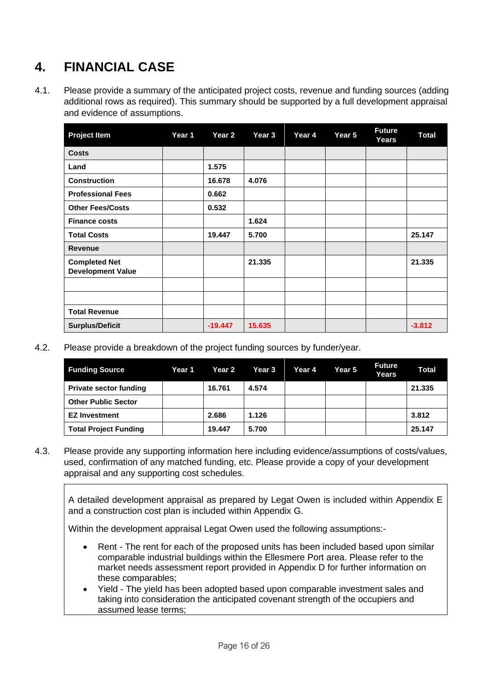# **4. FINANCIAL CASE**

4.1. Please provide a summary of the anticipated project costs, revenue and funding sources (adding additional rows as required). This summary should be supported by a full development appraisal and evidence of assumptions.

| <b>Project Item</b>                              | Year 1 | Year 2    | Year 3 | Year 4 | Year 5 | <b>Future</b><br>Years | <b>Total</b> |
|--------------------------------------------------|--------|-----------|--------|--------|--------|------------------------|--------------|
| <b>Costs</b>                                     |        |           |        |        |        |                        |              |
| Land                                             |        | 1.575     |        |        |        |                        |              |
| <b>Construction</b>                              |        | 16.678    | 4.076  |        |        |                        |              |
| <b>Professional Fees</b>                         |        | 0.662     |        |        |        |                        |              |
| <b>Other Fees/Costs</b>                          |        | 0.532     |        |        |        |                        |              |
| <b>Finance costs</b>                             |        |           | 1.624  |        |        |                        |              |
| <b>Total Costs</b>                               |        | 19.447    | 5.700  |        |        |                        | 25.147       |
| <b>Revenue</b>                                   |        |           |        |        |        |                        |              |
| <b>Completed Net</b><br><b>Development Value</b> |        |           | 21.335 |        |        |                        | 21.335       |
|                                                  |        |           |        |        |        |                        |              |
|                                                  |        |           |        |        |        |                        |              |
| <b>Total Revenue</b>                             |        |           |        |        |        |                        |              |
| <b>Surplus/Deficit</b>                           |        | $-19.447$ | 15.635 |        |        |                        | $-3.812$     |

4.2. Please provide a breakdown of the project funding sources by funder/year.

| <b>Funding Source</b>         | Year 1 | <b>Year 2</b> | Year 3 | Year 4 | Year 5 | <b>Future</b><br>Years | <b>Total</b> |
|-------------------------------|--------|---------------|--------|--------|--------|------------------------|--------------|
| <b>Private sector funding</b> |        | 16.761        | 4.574  |        |        |                        | 21.335       |
| <b>Other Public Sector</b>    |        |               |        |        |        |                        |              |
| <b>EZ Investment</b>          |        | 2.686         | 1.126  |        |        |                        | 3.812        |
| <b>Total Project Funding</b>  |        | 19.447        | 5.700  |        |        |                        | 25.147       |

4.3. Please provide any supporting information here including evidence/assumptions of costs/values, used, confirmation of any matched funding, etc. Please provide a copy of your development appraisal and any supporting cost schedules.

A detailed development appraisal as prepared by Legat Owen is included within Appendix E and a construction cost plan is included within Appendix G.

Within the development appraisal Legat Owen used the following assumptions:-

- Rent The rent for each of the proposed units has been included based upon similar comparable industrial buildings within the Ellesmere Port area. Please refer to the market needs assessment report provided in Appendix D for further information on these comparables;
- Yield The yield has been adopted based upon comparable investment sales and taking into consideration the anticipated covenant strength of the occupiers and assumed lease terms;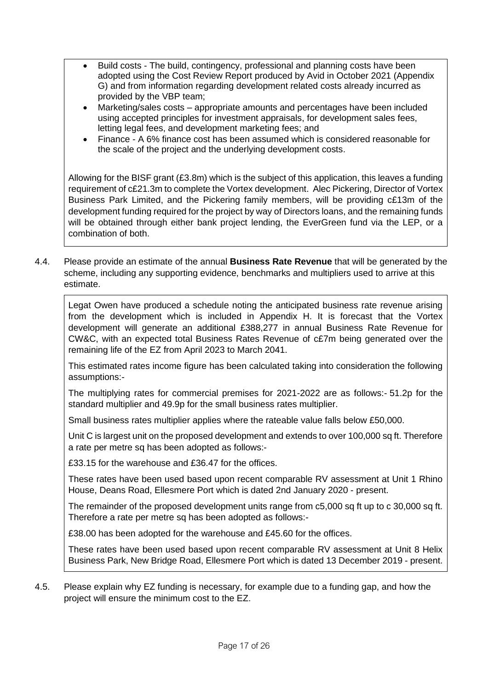- Build costs The build, contingency, professional and planning costs have been adopted using the Cost Review Report produced by Avid in October 2021 (Appendix G) and from information regarding development related costs already incurred as provided by the VBP team;
- Marketing/sales costs appropriate amounts and percentages have been included using accepted principles for investment appraisals, for development sales fees, letting legal fees, and development marketing fees; and
- Finance A 6% finance cost has been assumed which is considered reasonable for the scale of the project and the underlying development costs.

Allowing for the BISF grant (£3.8m) which is the subject of this application, this leaves a funding requirement of c£21.3m to complete the Vortex development. Alec Pickering, Director of Vortex Business Park Limited, and the Pickering family members, will be providing c£13m of the development funding required for the project by way of Directors loans, and the remaining funds will be obtained through either bank project lending, the EverGreen fund via the LEP, or a combination of both.

4.4. Please provide an estimate of the annual **Business Rate Revenue** that will be generated by the scheme, including any supporting evidence, benchmarks and multipliers used to arrive at this estimate.

Legat Owen have produced a schedule noting the anticipated business rate revenue arising from the development which is included in Appendix H. It is forecast that the Vortex development will generate an additional £388,277 in annual Business Rate Revenue for CW&C, with an expected total Business Rates Revenue of c£7m being generated over the remaining life of the EZ from April 2023 to March 2041.

This estimated rates income figure has been calculated taking into consideration the following assumptions:-

The multiplying rates for commercial premises for 2021-2022 are as follows:- 51.2p for the standard multiplier and 49.9p for the small business rates multiplier.

Small business rates multiplier applies where the rateable value falls below £50,000.

Unit C is largest unit on the proposed development and extends to over 100,000 sq ft. Therefore a rate per metre sq has been adopted as follows:-

£33.15 for the warehouse and £36.47 for the offices.

These rates have been used based upon recent comparable RV assessment at Unit 1 Rhino House, Deans Road, Ellesmere Port which is dated 2nd January 2020 - present.

The remainder of the proposed development units range from c5,000 sq ft up to c 30,000 sq ft. Therefore a rate per metre sq has been adopted as follows:-

£38.00 has been adopted for the warehouse and £45.60 for the offices.

These rates have been used based upon recent comparable RV assessment at Unit 8 Helix Business Park, New Bridge Road, Ellesmere Port which is dated 13 December 2019 - present.

4.5. Please explain why EZ funding is necessary, for example due to a funding gap, and how the project will ensure the minimum cost to the EZ.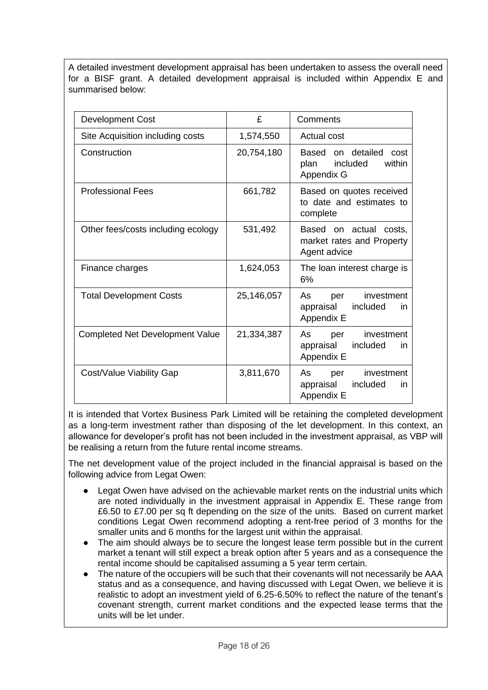A detailed investment development appraisal has been undertaken to assess the overall need for a BISF grant. A detailed development appraisal is included within Appendix E and summarised below:

| <b>Development Cost</b>                | £          | Comments                                                              |
|----------------------------------------|------------|-----------------------------------------------------------------------|
| Site Acquisition including costs       | 1,574,550  | Actual cost                                                           |
| Construction                           | 20,754,180 | Based on detailed cost<br>included<br>within<br>plan<br>Appendix G    |
| <b>Professional Fees</b>               | 661,782    | Based on quotes received<br>to date and estimates to<br>complete      |
| Other fees/costs including ecology     | 531,492    | Based on actual costs,<br>market rates and Property<br>Agent advice   |
| Finance charges                        | 1,624,053  | The loan interest charge is<br>6%                                     |
| <b>Total Development Costs</b>         | 25,146,057 | As<br>investment<br>per<br>appraisal<br>included<br>in.<br>Appendix E |
| <b>Completed Net Development Value</b> | 21,334,387 | As<br>investment<br>per<br>appraisal<br>included<br>in<br>Appendix E  |
| Cost/Value Viability Gap               | 3,811,670  | As<br>investment<br>per<br>included<br>appraisal<br>in.<br>Appendix E |

It is intended that Vortex Business Park Limited will be retaining the completed development as a long-term investment rather than disposing of the let development. In this context, an allowance for developer's profit has not been included in the investment appraisal, as VBP will be realising a return from the future rental income streams.

The net development value of the project included in the financial appraisal is based on the following advice from Legat Owen:

- Legat Owen have advised on the achievable market rents on the industrial units which are noted individually in the investment appraisal in Appendix E. These range from £6.50 to £7.00 per sq ft depending on the size of the units. Based on current market conditions Legat Owen recommend adopting a rent-free period of 3 months for the smaller units and 6 months for the largest unit within the appraisal.
- The aim should always be to secure the longest lease term possible but in the current market a tenant will still expect a break option after 5 years and as a consequence the rental income should be capitalised assuming a 5 year term certain.
- The nature of the occupiers will be such that their covenants will not necessarily be AAA status and as a consequence, and having discussed with Legat Owen, we believe it is realistic to adopt an investment yield of 6.25-6.50% to reflect the nature of the tenant's covenant strength, current market conditions and the expected lease terms that the units will be let under.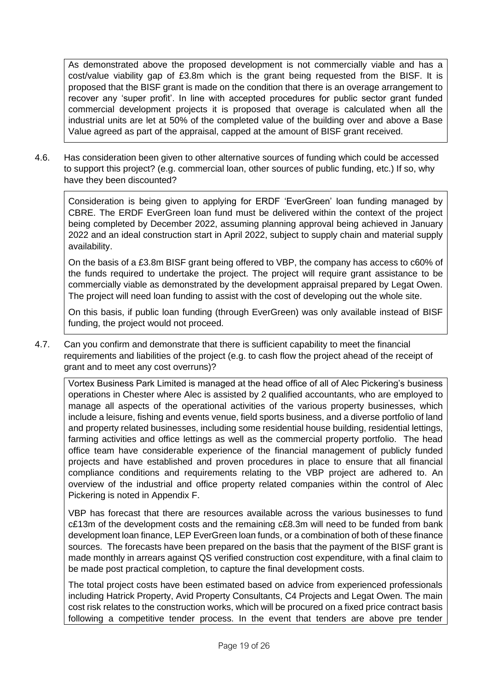As demonstrated above the proposed development is not commercially viable and has a cost/value viability gap of £3.8m which is the grant being requested from the BISF. It is proposed that the BISF grant is made on the condition that there is an overage arrangement to recover any 'super profit'. In line with accepted procedures for public sector grant funded commercial development projects it is proposed that overage is calculated when all the industrial units are let at 50% of the completed value of the building over and above a Base Value agreed as part of the appraisal, capped at the amount of BISF grant received.

4.6. Has consideration been given to other alternative sources of funding which could be accessed to support this project? (e.g. commercial loan, other sources of public funding, etc.) If so, why have they been discounted?

Consideration is being given to applying for ERDF 'EverGreen' loan funding managed by CBRE. The ERDF EverGreen loan fund must be delivered within the context of the project being completed by December 2022, assuming planning approval being achieved in January 2022 and an ideal construction start in April 2022, subject to supply chain and material supply availability.

On the basis of a £3.8m BISF grant being offered to VBP, the company has access to c60% of the funds required to undertake the project. The project will require grant assistance to be commercially viable as demonstrated by the development appraisal prepared by Legat Owen. The project will need loan funding to assist with the cost of developing out the whole site.

On this basis, if public loan funding (through EverGreen) was only available instead of BISF funding, the project would not proceed.

4.7. Can you confirm and demonstrate that there is sufficient capability to meet the financial requirements and liabilities of the project (e.g. to cash flow the project ahead of the receipt of grant and to meet any cost overruns)?

Vortex Business Park Limited is managed at the head office of all of Alec Pickering's business operations in Chester where Alec is assisted by 2 qualified accountants, who are employed to manage all aspects of the operational activities of the various property businesses, which include a leisure, fishing and events venue, field sports business, and a diverse portfolio of land and property related businesses, including some residential house building, residential lettings, farming activities and office lettings as well as the commercial property portfolio. The head office team have considerable experience of the financial management of publicly funded projects and have established and proven procedures in place to ensure that all financial compliance conditions and requirements relating to the VBP project are adhered to. An overview of the industrial and office property related companies within the control of Alec Pickering is noted in Appendix F.

VBP has forecast that there are resources available across the various businesses to fund c£13m of the development costs and the remaining c£8.3m will need to be funded from bank development loan finance, LEP EverGreen loan funds, or a combination of both of these finance sources. The forecasts have been prepared on the basis that the payment of the BISF grant is made monthly in arrears against QS verified construction cost expenditure, with a final claim to be made post practical completion, to capture the final development costs.

The total project costs have been estimated based on advice from experienced professionals including Hatrick Property, Avid Property Consultants, C4 Projects and Legat Owen. The main cost risk relates to the construction works, which will be procured on a fixed price contract basis following a competitive tender process. In the event that tenders are above pre tender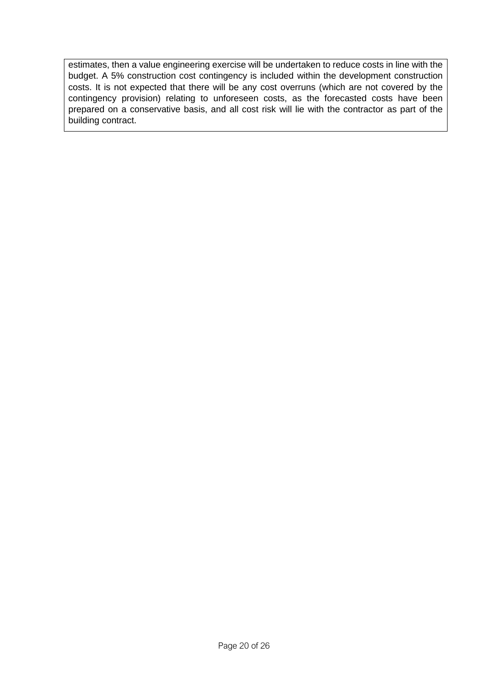estimates, then a value engineering exercise will be undertaken to reduce costs in line with the budget. A 5% construction cost contingency is included within the development construction costs. It is not expected that there will be any cost overruns (which are not covered by the contingency provision) relating to unforeseen costs, as the forecasted costs have been prepared on a conservative basis, and all cost risk will lie with the contractor as part of the building contract.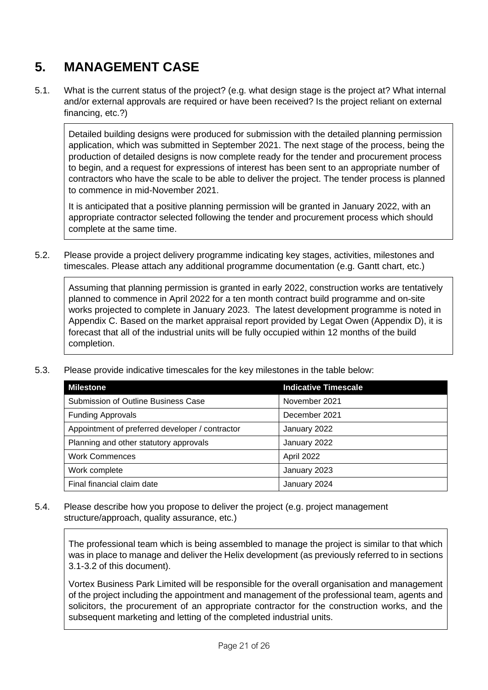# **5. MANAGEMENT CASE**

5.1. What is the current status of the project? (e.g. what design stage is the project at? What internal and/or external approvals are required or have been received? Is the project reliant on external financing, etc.?)

Detailed building designs were produced for submission with the detailed planning permission application, which was submitted in September 2021. The next stage of the process, being the production of detailed designs is now complete ready for the tender and procurement process to begin, and a request for expressions of interest has been sent to an appropriate number of contractors who have the scale to be able to deliver the project. The tender process is planned to commence in mid-November 2021.

It is anticipated that a positive planning permission will be granted in January 2022, with an appropriate contractor selected following the tender and procurement process which should complete at the same time.

5.2. Please provide a project delivery programme indicating key stages, activities, milestones and timescales. Please attach any additional programme documentation (e.g. Gantt chart, etc.)

Assuming that planning permission is granted in early 2022, construction works are tentatively planned to commence in April 2022 for a ten month contract build programme and on-site works projected to complete in January 2023. The latest development programme is noted in Appendix C. Based on the market appraisal report provided by Legat Owen (Appendix D), it is forecast that all of the industrial units will be fully occupied within 12 months of the build completion.

| <b>Milestone</b>                                | <b>Indicative Timescale</b> |
|-------------------------------------------------|-----------------------------|
| Submission of Outline Business Case             | November 2021               |
| <b>Funding Approvals</b>                        | December 2021               |
| Appointment of preferred developer / contractor | January 2022                |
| Planning and other statutory approvals          | January 2022                |
| <b>Work Commences</b>                           | April 2022                  |
| Work complete                                   | January 2023                |
| Final financial claim date                      | January 2024                |

5.3. Please provide indicative timescales for the key milestones in the table below:

5.4. Please describe how you propose to deliver the project (e.g. project management structure/approach, quality assurance, etc.)

The professional team which is being assembled to manage the project is similar to that which was in place to manage and deliver the Helix development (as previously referred to in sections 3.1-3.2 of this document).

Vortex Business Park Limited will be responsible for the overall organisation and management of the project including the appointment and management of the professional team, agents and solicitors, the procurement of an appropriate contractor for the construction works, and the subsequent marketing and letting of the completed industrial units.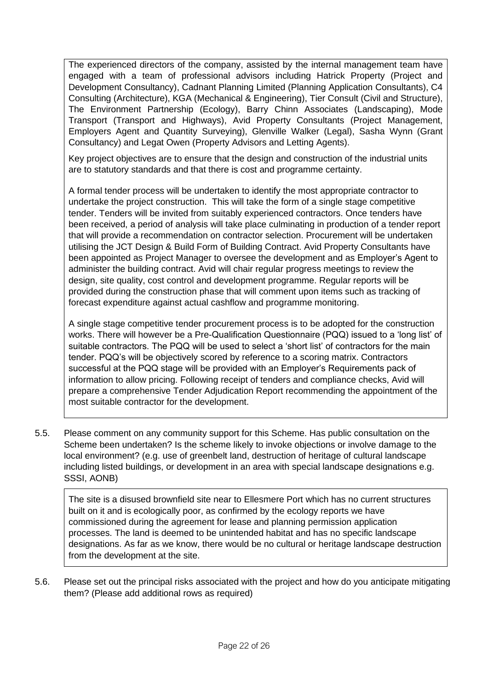The experienced directors of the company, assisted by the internal management team have engaged with a team of professional advisors including Hatrick Property (Project and Development Consultancy), Cadnant Planning Limited (Planning Application Consultants), C4 Consulting (Architecture), KGA (Mechanical & Engineering), Tier Consult (Civil and Structure), The Environment Partnership (Ecology), Barry Chinn Associates (Landscaping), Mode Transport (Transport and Highways), Avid Property Consultants (Project Management, Employers Agent and Quantity Surveying), Glenville Walker (Legal), Sasha Wynn (Grant Consultancy) and Legat Owen (Property Advisors and Letting Agents).

Key project objectives are to ensure that the design and construction of the industrial units are to statutory standards and that there is cost and programme certainty.

A formal tender process will be undertaken to identify the most appropriate contractor to undertake the project construction. This will take the form of a single stage competitive tender. Tenders will be invited from suitably experienced contractors. Once tenders have been received, a period of analysis will take place culminating in production of a tender report that will provide a recommendation on contractor selection. Procurement will be undertaken utilising the JCT Design & Build Form of Building Contract. Avid Property Consultants have been appointed as Project Manager to oversee the development and as Employer's Agent to administer the building contract. Avid will chair regular progress meetings to review the design, site quality, cost control and development programme. Regular reports will be provided during the construction phase that will comment upon items such as tracking of forecast expenditure against actual cashflow and programme monitoring.

A single stage competitive tender procurement process is to be adopted for the construction works. There will however be a Pre-Qualification Questionnaire (PQQ) issued to a 'long list' of suitable contractors. The PQQ will be used to select a 'short list' of contractors for the main tender. PQQ's will be objectively scored by reference to a scoring matrix. Contractors successful at the PQQ stage will be provided with an Employer's Requirements pack of information to allow pricing. Following receipt of tenders and compliance checks, Avid will prepare a comprehensive Tender Adjudication Report recommending the appointment of the most suitable contractor for the development.

5.5. Please comment on any community support for this Scheme. Has public consultation on the Scheme been undertaken? Is the scheme likely to invoke objections or involve damage to the local environment? (e.g. use of greenbelt land, destruction of heritage of cultural landscape including listed buildings, or development in an area with special landscape designations e.g. SSSI, AONB)

The site is a disused brownfield site near to Ellesmere Port which has no current structures built on it and is ecologically poor, as confirmed by the ecology reports we have commissioned during the agreement for lease and planning permission application processes. The land is deemed to be unintended habitat and has no specific landscape designations. As far as we know, there would be no cultural or heritage landscape destruction from the development at the site.

5.6. Please set out the principal risks associated with the project and how do you anticipate mitigating them? (Please add additional rows as required)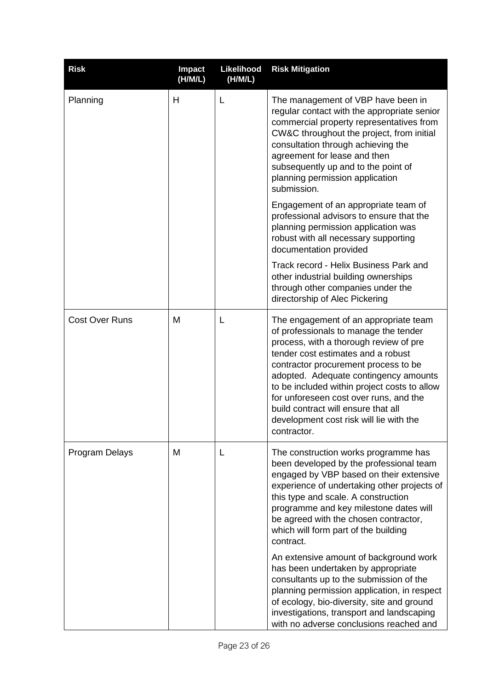| <b>Risk</b>           | <b>Impact</b><br>(H/M/L) | Likelihood<br>(H/M/L) | <b>Risk Mitigation</b>                                                                                                                                                                                                                                                                                                                                                                                                                     |
|-----------------------|--------------------------|-----------------------|--------------------------------------------------------------------------------------------------------------------------------------------------------------------------------------------------------------------------------------------------------------------------------------------------------------------------------------------------------------------------------------------------------------------------------------------|
| Planning              | H                        | L                     | The management of VBP have been in<br>regular contact with the appropriate senior<br>commercial property representatives from<br>CW&C throughout the project, from initial<br>consultation through achieving the<br>agreement for lease and then<br>subsequently up and to the point of<br>planning permission application<br>submission.                                                                                                  |
|                       |                          |                       | Engagement of an appropriate team of<br>professional advisors to ensure that the<br>planning permission application was<br>robust with all necessary supporting<br>documentation provided                                                                                                                                                                                                                                                  |
|                       |                          |                       | Track record - Helix Business Park and<br>other industrial building ownerships<br>through other companies under the<br>directorship of Alec Pickering                                                                                                                                                                                                                                                                                      |
| <b>Cost Over Runs</b> | M                        | L                     | The engagement of an appropriate team<br>of professionals to manage the tender<br>process, with a thorough review of pre<br>tender cost estimates and a robust<br>contractor procurement process to be<br>adopted. Adequate contingency amounts<br>to be included within project costs to allow<br>for unforeseen cost over runs, and the<br>build contract will ensure that all<br>development cost risk will lie with the<br>contractor. |
| Program Delays        | M                        | L                     | The construction works programme has<br>been developed by the professional team<br>engaged by VBP based on their extensive<br>experience of undertaking other projects of<br>this type and scale. A construction<br>programme and key milestone dates will<br>be agreed with the chosen contractor,<br>which will form part of the building<br>contract.                                                                                   |
|                       |                          |                       | An extensive amount of background work<br>has been undertaken by appropriate<br>consultants up to the submission of the<br>planning permission application, in respect<br>of ecology, bio-diversity, site and ground<br>investigations, transport and landscaping<br>with no adverse conclusions reached and                                                                                                                               |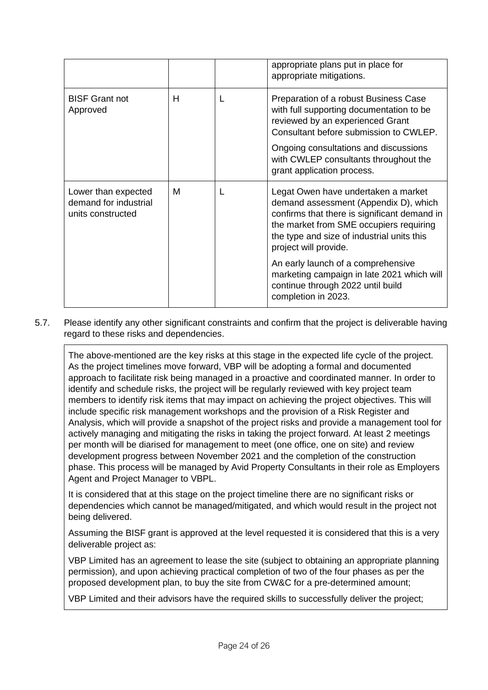|                                                                   |   | appropriate plans put in place for<br>appropriate mitigations.                                                                                                                                                                                 |
|-------------------------------------------------------------------|---|------------------------------------------------------------------------------------------------------------------------------------------------------------------------------------------------------------------------------------------------|
| <b>BISF Grant not</b><br>Approved                                 | Н | Preparation of a robust Business Case<br>with full supporting documentation to be<br>reviewed by an experienced Grant<br>Consultant before submission to CWLEP.                                                                                |
|                                                                   |   | Ongoing consultations and discussions<br>with CWLEP consultants throughout the<br>grant application process.                                                                                                                                   |
| Lower than expected<br>demand for industrial<br>units constructed | M | Legat Owen have undertaken a market<br>demand assessment (Appendix D), which<br>confirms that there is significant demand in<br>the market from SME occupiers requiring<br>the type and size of industrial units this<br>project will provide. |
|                                                                   |   | An early launch of a comprehensive<br>marketing campaign in late 2021 which will<br>continue through 2022 until build<br>completion in 2023.                                                                                                   |

5.7. Please identify any other significant constraints and confirm that the project is deliverable having regard to these risks and dependencies.

The above-mentioned are the key risks at this stage in the expected life cycle of the project. As the project timelines move forward, VBP will be adopting a formal and documented approach to facilitate risk being managed in a proactive and coordinated manner. In order to identify and schedule risks, the project will be regularly reviewed with key project team members to identify risk items that may impact on achieving the project objectives. This will include specific risk management workshops and the provision of a Risk Register and Analysis, which will provide a snapshot of the project risks and provide a management tool for actively managing and mitigating the risks in taking the project forward. At least 2 meetings per month will be diarised for management to meet (one office, one on site) and review development progress between November 2021 and the completion of the construction phase. This process will be managed by Avid Property Consultants in their role as Employers Agent and Project Manager to VBPL.

It is considered that at this stage on the project timeline there are no significant risks or dependencies which cannot be managed/mitigated, and which would result in the project not being delivered.

Assuming the BISF grant is approved at the level requested it is considered that this is a very deliverable project as:

VBP Limited has an agreement to lease the site (subject to obtaining an appropriate planning permission), and upon achieving practical completion of two of the four phases as per the proposed development plan, to buy the site from CW&C for a pre-determined amount;

VBP Limited and their advisors have the required skills to successfully deliver the project;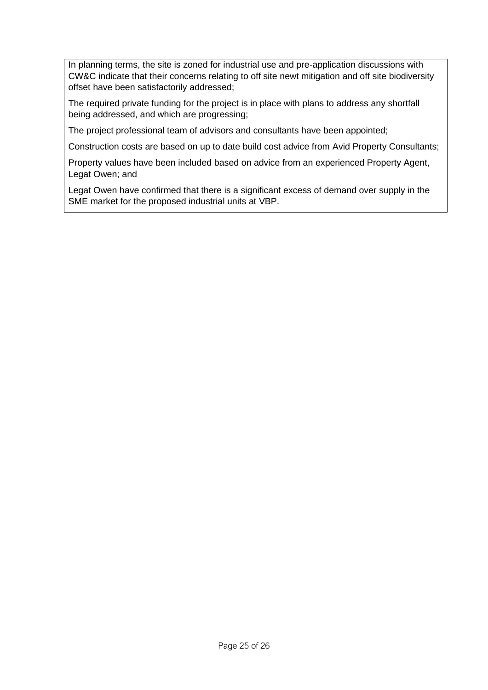In planning terms, the site is zoned for industrial use and pre-application discussions with CW&C indicate that their concerns relating to off site newt mitigation and off site biodiversity offset have been satisfactorily addressed;

The required private funding for the project is in place with plans to address any shortfall being addressed, and which are progressing;

The project professional team of advisors and consultants have been appointed;

Construction costs are based on up to date build cost advice from Avid Property Consultants;

Property values have been included based on advice from an experienced Property Agent, Legat Owen; and

Legat Owen have confirmed that there is a significant excess of demand over supply in the SME market for the proposed industrial units at VBP.